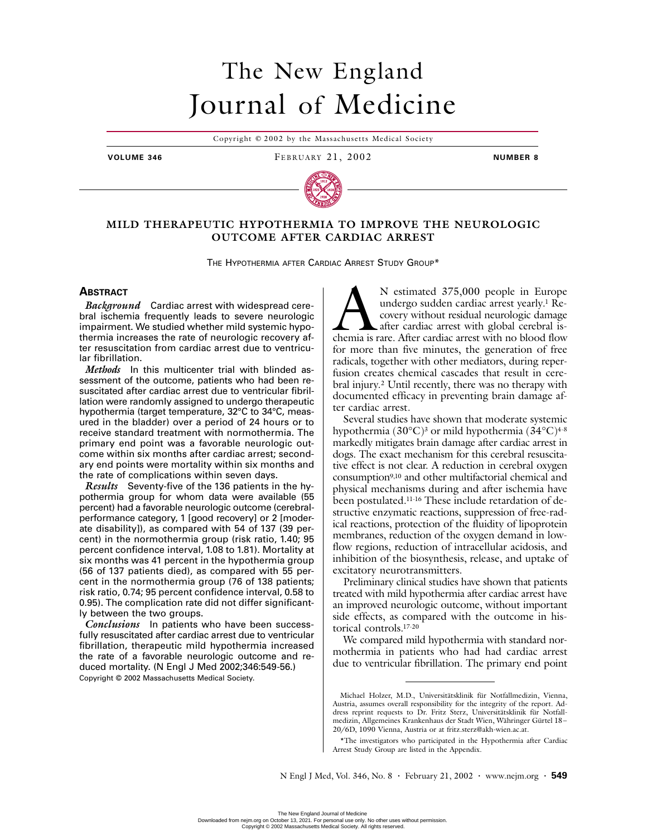# The New England Journal of Medicine

Copyright © 2002 by the Massachusetts Medical Society

**VOLUME 346** FEBRUARY 21, 2002 **NUMBER 8**



# **MILD THERAPEUTIC HYPOTHERMIA TO IMPROVE THE NEUROLOGIC OUTCOME AFTER CARDIAC ARREST**

THE HYPOTHERMIA AFTER CARDIAC ARREST STUDY GROUP\*

# **ABSTRACT**

*Background* Cardiac arrest with widespread cerebral ischemia frequently leads to severe neurologic impairment. We studied whether mild systemic hypothermia increases the rate of neurologic recovery after resuscitation from cardiac arrest due to ventricular fibrillation.

*Methods* In this multicenter trial with blinded assessment of the outcome, patients who had been resuscitated after cardiac arrest due to ventricular fibrillation were randomly assigned to undergo therapeutic hypothermia (target temperature, 32°C to 34°C, measured in the bladder) over a period of 24 hours or to receive standard treatment with normothermia. The primary end point was a favorable neurologic outcome within six months after cardiac arrest; secondary end points were mortality within six months and the rate of complications within seven days.

*Results* Seventy-five of the 136 patients in the hypothermia group for whom data were available (55 percent) had a favorable neurologic outcome (cerebralperformance category, 1 [good recovery] or 2 [moderate disability]), as compared with 54 of 137 (39 percent) in the normothermia group (risk ratio, 1.40; 95 percent confidence interval, 1.08 to 1.81). Mortality at six months was 41 percent in the hypothermia group (56 of 137 patients died), as compared with 55 percent in the normothermia group (76 of 138 patients; risk ratio, 0.74; 95 percent confidence interval, 0.58 to 0.95). The complication rate did not differ significantly between the two groups.

*Conclusions* In patients who have been successfully resuscitated after cardiac arrest due to ventricular fibrillation, therapeutic mild hypothermia increased the rate of a favorable neurologic outcome and reduced mortality. (N Engl J Med 2002;346:549-56.) Copyright © 2002 Massachusetts Medical Society.

N estimated 375,000 people in Europe undergo sudden cardiac arrest yearly.1 Recovery without residual neurologic damage after cardiac arrest with global cerebral is-N estimated 375,000 people in Europe<br>undergo sudden cardiac arrest yearly.<sup>1</sup> Re-<br>covery without residual neurologic damage<br>chemia is rare. After cardiac arrest with no blood flow for more than five minutes, the generation of free radicals, together with other mediators, during reperfusion creates chemical cascades that result in cerebral injury.2 Until recently, there was no therapy with documented efficacy in preventing brain damage after cardiac arrest.

Several studies have shown that moderate systemic hypothermia (30 $^{\circ}$ C)<sup>3</sup> or mild hypothermia (34 $^{\circ}$ C)<sup>4-8</sup> markedly mitigates brain damage after cardiac arrest in dogs. The exact mechanism for this cerebral resuscitative effect is not clear. A reduction in cerebral oxygen consumption9,10 and other multifactorial chemical and physical mechanisms during and after ischemia have been postulated.11-16 These include retardation of destructive enzymatic reactions, suppression of free-radical reactions, protection of the fluidity of lipoprotein membranes, reduction of the oxygen demand in lowflow regions, reduction of intracellular acidosis, and inhibition of the biosynthesis, release, and uptake of excitatory neurotransmitters.

Preliminary clinical studies have shown that patients treated with mild hypothermia after cardiac arrest have an improved neurologic outcome, without important side effects, as compared with the outcome in historical controls.17-20

We compared mild hypothermia with standard normothermia in patients who had had cardiac arrest due to ventricular fibrillation. The primary end point

Michael Holzer, M.D., Universitätsklinik für Notfallmedizin, Vienna, Austria, assumes overall responsibility for the integrity of the report. Address reprint requests to Dr. Fritz Sterz, Universitätsklinik für Notfallmedizin, Allgemeines Krankenhaus der Stadt Wien, Währinger Gürtel 18– 20/6D, 1090 Vienna, Austria or at fritz.sterz@akh-wien.ac.at.

<sup>\*</sup>The investigators who participated in the Hypothermia after Cardiac Arrest Study Group are listed in the Appendix.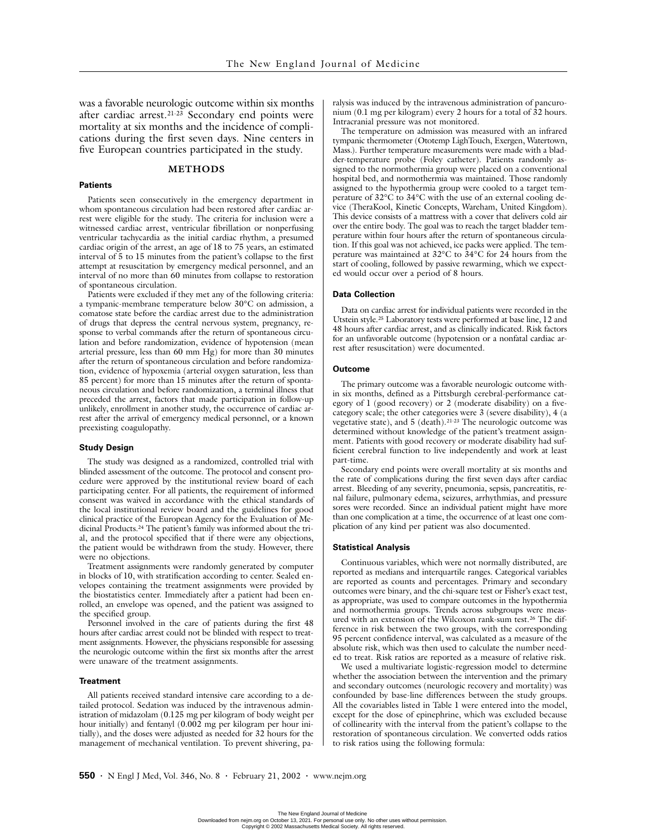was a favorable neurologic outcome within six months after cardiac arrest.<sup>21-23</sup> Secondary end points were mortality at six months and the incidence of complications during the first seven days. Nine centers in five European countries participated in the study.

# **METHODS**

## **Patients**

Patients seen consecutively in the emergency department in whom spontaneous circulation had been restored after cardiac arrest were eligible for the study. The criteria for inclusion were a witnessed cardiac arrest, ventricular fibrillation or nonperfusing ventricular tachycardia as the initial cardiac rhythm, a presumed cardiac origin of the arrest, an age of 18 to 75 years, an estimated interval of 5 to 15 minutes from the patient's collapse to the first attempt at resuscitation by emergency medical personnel, and an interval of no more than 60 minutes from collapse to restoration of spontaneous circulation.

Patients were excluded if they met any of the following criteria: a tympanic-membrane temperature below 30°C on admission, a comatose state before the cardiac arrest due to the administration of drugs that depress the central nervous system, pregnancy, response to verbal commands after the return of spontaneous circulation and before randomization, evidence of hypotension (mean arterial pressure, less than 60 mm Hg) for more than 30 minutes after the return of spontaneous circulation and before randomization, evidence of hypoxemia (arterial oxygen saturation, less than 85 percent) for more than 15 minutes after the return of spontaneous circulation and before randomization, a terminal illness that preceded the arrest, factors that made participation in follow-up unlikely, enrollment in another study, the occurrence of cardiac arrest after the arrival of emergency medical personnel, or a known preexisting coagulopathy.

#### **Study Design**

The study was designed as a randomized, controlled trial with blinded assessment of the outcome. The protocol and consent procedure were approved by the institutional review board of each participating center. For all patients, the requirement of informed consent was waived in accordance with the ethical standards of the local institutional review board and the guidelines for good clinical practice of the European Agency for the Evaluation of Medicinal Products.24 The patient's family was informed about the trial, and the protocol specified that if there were any objections, the patient would be withdrawn from the study. However, there were no objections.

Treatment assignments were randomly generated by computer in blocks of 10, with stratification according to center. Sealed envelopes containing the treatment assignments were provided by the biostatistics center. Immediately after a patient had been enrolled, an envelope was opened, and the patient was assigned to the specified group.

Personnel involved in the care of patients during the first 48 hours after cardiac arrest could not be blinded with respect to treatment assignments. However, the physicians responsible for assessing the neurologic outcome within the first six months after the arrest were unaware of the treatment assignments.

#### **Treatment**

All patients received standard intensive care according to a detailed protocol. Sedation was induced by the intravenous administration of midazolam (0.125 mg per kilogram of body weight per hour initially) and fentanyl (0.002 mg per kilogram per hour initially), and the doses were adjusted as needed for 32 hours for the management of mechanical ventilation. To prevent shivering, paralysis was induced by the intravenous administration of pancuronium (0.1 mg per kilogram) every 2 hours for a total of 32 hours. Intracranial pressure was not monitored.

The temperature on admission was measured with an infrared tympanic thermometer (Ototemp LighTouch, Exergen, Watertown, Mass.). Further temperature measurements were made with a bladder-temperature probe (Foley catheter). Patients randomly assigned to the normothermia group were placed on a conventional hospital bed, and normothermia was maintained. Those randomly assigned to the hypothermia group were cooled to a target temperature of 32°C to 34°C with the use of an external cooling device (TheraKool, Kinetic Concepts, Wareham, United Kingdom). This device consists of a mattress with a cover that delivers cold air over the entire body. The goal was to reach the target bladder temperature within four hours after the return of spontaneous circulation. If this goal was not achieved, ice packs were applied. The temperature was maintained at 32°C to 34°C for 24 hours from the start of cooling, followed by passive rewarming, which we expected would occur over a period of 8 hours.

## **Data Collection**

Data on cardiac arrest for individual patients were recorded in the Utstein style.25 Laboratory tests were performed at base line, 12 and 48 hours after cardiac arrest, and as clinically indicated. Risk factors for an unfavorable outcome (hypotension or a nonfatal cardiac arrest after resuscitation) were documented.

#### **Outcome**

The primary outcome was a favorable neurologic outcome within six months, defined as a Pittsburgh cerebral-performance category of 1 (good recovery) or 2 (moderate disability) on a fivecategory scale; the other categories were 3 (severe disability), 4 (a vegetative state), and 5 (death).21-23 The neurologic outcome was determined without knowledge of the patient's treatment assignment. Patients with good recovery or moderate disability had sufficient cerebral function to live independently and work at least part-time.

Secondary end points were overall mortality at six months and the rate of complications during the first seven days after cardiac arrest. Bleeding of any severity, pneumonia, sepsis, pancreatitis, renal failure, pulmonary edema, seizures, arrhythmias, and pressure sores were recorded. Since an individual patient might have more than one complication at a time, the occurrence of at least one complication of any kind per patient was also documented.

#### **Statistical Analysis**

Continuous variables, which were not normally distributed, are reported as medians and interquartile ranges. Categorical variables are reported as counts and percentages. Primary and secondary outcomes were binary, and the chi-square test or Fisher's exact test, as appropriate, was used to compare outcomes in the hypothermia and normothermia groups. Trends across subgroups were measured with an extension of the Wilcoxon rank-sum test.26 The difference in risk between the two groups, with the corresponding 95 percent confidence interval, was calculated as a measure of the absolute risk, which was then used to calculate the number needed to treat. Risk ratios are reported as a measure of relative risk.

We used a multivariate logistic-regression model to determine whether the association between the intervention and the primary and secondary outcomes (neurologic recovery and mortality) was confounded by base-line differences between the study groups. All the covariables listed in Table 1 were entered into the model, except for the dose of epinephrine, which was excluded because of collinearity with the interval from the patient's collapse to the restoration of spontaneous circulation. We converted odds ratios to risk ratios using the following formula: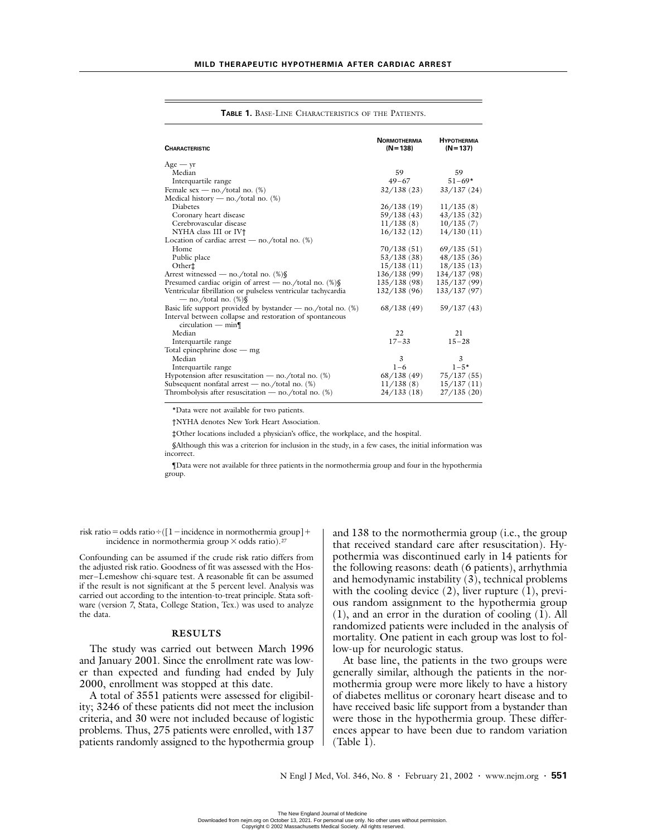| <b>CHARACTERISTIC</b>                                                                    | <b>NORMOTHERMIA</b><br>$(N=138)$ | <b>HYPOTHERMIA</b><br>$(N=137)$ |
|------------------------------------------------------------------------------------------|----------------------------------|---------------------------------|
| $Age - yr$                                                                               |                                  |                                 |
| Median                                                                                   | 59                               | 59                              |
| Interquartile range                                                                      | $49 - 67$                        | $51 - 69*$                      |
| Female sex — no./total no. $(\%)$                                                        | 32/138(23)                       | 33/137(24)                      |
| Medical history — no./total no. $(\%)$                                                   |                                  |                                 |
| <b>Diabetes</b>                                                                          | 26/138(19)                       | 11/135(8)                       |
| Coronary heart disease                                                                   | 59/138 (43)                      | 43/135(32)                      |
| Cerebrovascular disease                                                                  | 11/138(8)                        | 10/135(7)                       |
| NYHA class III or IV <sup>+</sup>                                                        | 16/132(12)                       | 14/130(11)                      |
| Location of cardiac arrest — no./total no. $(\%)$                                        |                                  |                                 |
| Home                                                                                     | 70/138(51)                       | 69/135(51)                      |
| Public place                                                                             | 53/138 (38)                      | 48/135(36)                      |
| Other <sup>+</sup>                                                                       | 15/138(11)                       | 18/135(13)                      |
| Arrest witnessed — no./total no. (%)§                                                    | 136/138 (99)                     | 134/137(98)                     |
| Presumed cardiac origin of arrest — no./total no. $\%$                                   | 135/138(98)                      | 135/137(99)                     |
| Ventricular fibrillation or pulseless ventricular tachycardia<br>— no./total no. $(\%)\$ | 132/138 (96)                     | 133/137(97)                     |
| Basic life support provided by bystander $-$ no./total no. $(\%)$                        | 68/138(49)                       | 59/137(43)                      |
| Interval between collapse and restoration of spontaneous<br>$circulation - min$          |                                  |                                 |
| Median                                                                                   | 22                               | 21                              |
| Interquartile range                                                                      | $17 - 33$                        | $15 - 28$                       |
| Total epinephrine dose — mg                                                              |                                  |                                 |
| Median                                                                                   | 3                                | 3                               |
| Interquartile range                                                                      | $1 - 6$                          | $1 - 5*$                        |
| Hypotension after resuscitation — no./total no. $(\%)$                                   | 68/138 (49)                      | 75/137(55)                      |
| Subsequent nonfatal arrest — no./total no. $(\%)$                                        | 11/138(8)                        | 15/137(11)                      |
| Thrombolysis after resuscitation — no./total no. $(\%)$                                  | 24/133 (18)                      | 27/135(20)                      |

**TABLE 1.** BASE-LINE CHARACTERISTICS OF THE PATIENTS.

\*Data were not available for two patients.

†NYHA denotes New York Heart Association.

‡Other locations included a physician's office, the workplace, and the hospital.

§Although this was a criterion for inclusion in the study, in a few cases, the initial information was incorrect.

¶Data were not available for three patients in the normothermia group and four in the hypothermia group.

risk ratio=odds ratio÷( $[1$  – incidence in normothermia group] + incidence in normothermia group  $\times$  odds ratio).<sup>27</sup>

Confounding can be assumed if the crude risk ratio differs from the adjusted risk ratio. Goodness of fit was assessed with the Hosmer–Lemeshow chi-square test. A reasonable fit can be assumed if the result is not significant at the 5 percent level. Analysis was carried out according to the intention-to-treat principle. Stata software (version 7, Stata, College Station, Tex.) was used to analyze the data.

## **RESULTS**

The study was carried out between March 1996 and January 2001. Since the enrollment rate was lower than expected and funding had ended by July 2000, enrollment was stopped at this date.

A total of 3551 patients were assessed for eligibility; 3246 of these patients did not meet the inclusion criteria, and 30 were not included because of logistic problems. Thus, 275 patients were enrolled, with 137 patients randomly assigned to the hypothermia group and 138 to the normothermia group (i.e., the group that received standard care after resuscitation). Hypothermia was discontinued early in 14 patients for the following reasons: death (6 patients), arrhythmia and hemodynamic instability (3), technical problems with the cooling device  $(2)$ , liver rupture  $(1)$ , previous random assignment to the hypothermia group (1), and an error in the duration of cooling (1). All randomized patients were included in the analysis of mortality. One patient in each group was lost to follow-up for neurologic status.

At base line, the patients in the two groups were generally similar, although the patients in the normothermia group were more likely to have a history of diabetes mellitus or coronary heart disease and to have received basic life support from a bystander than were those in the hypothermia group. These differences appear to have been due to random variation (Table 1).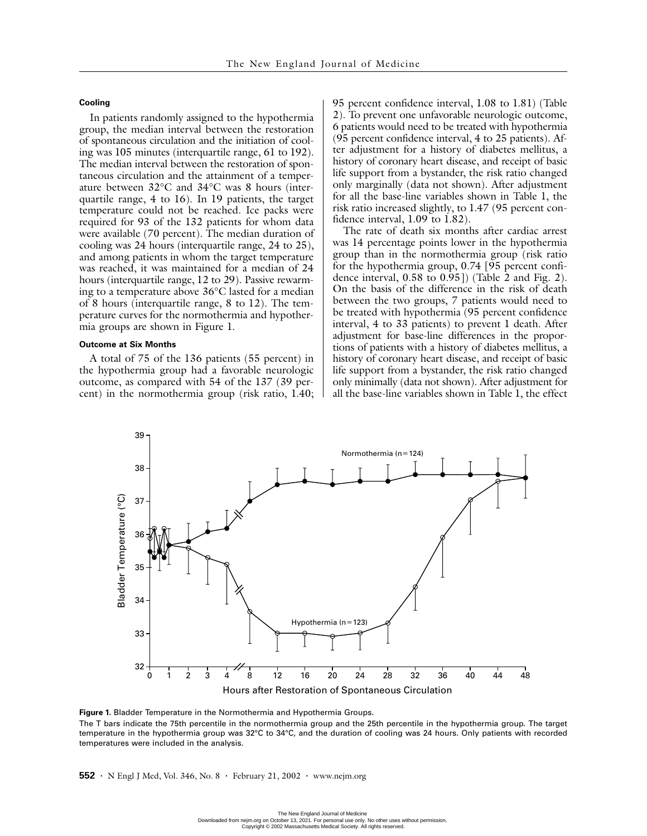# **Cooling**

In patients randomly assigned to the hypothermia group, the median interval between the restoration of spontaneous circulation and the initiation of cooling was 105 minutes (interquartile range, 61 to 192). The median interval between the restoration of spontaneous circulation and the attainment of a temperature between 32°C and 34°C was 8 hours (interquartile range, 4 to 16). In 19 patients, the target temperature could not be reached. Ice packs were required for 93 of the 132 patients for whom data were available (70 percent). The median duration of cooling was 24 hours (interquartile range, 24 to 25), and among patients in whom the target temperature was reached, it was maintained for a median of 24 hours (interquartile range, 12 to 29). Passive rewarming to a temperature above 36°C lasted for a median of 8 hours (interquartile range, 8 to 12). The temperature curves for the normothermia and hypothermia groups are shown in Figure 1.

## **Outcome at Six Months**

A total of 75 of the 136 patients (55 percent) in the hypothermia group had a favorable neurologic outcome, as compared with 54 of the 137 (39 percent) in the normothermia group (risk ratio, 1.40; 95 percent confidence interval, 1.08 to 1.81) (Table 2). To prevent one unfavorable neurologic outcome, 6 patients would need to be treated with hypothermia (95 percent confidence interval, 4 to 25 patients). After adjustment for a history of diabetes mellitus, a history of coronary heart disease, and receipt of basic life support from a bystander, the risk ratio changed only marginally (data not shown). After adjustment for all the base-line variables shown in Table 1, the risk ratio increased slightly, to 1.47 (95 percent confidence interval, 1.09 to 1.82).

The rate of death six months after cardiac arrest was 14 percentage points lower in the hypothermia group than in the normothermia group (risk ratio for the hypothermia group, 0.74 [95 percent confidence interval, 0.58 to 0.95]) (Table 2 and Fig. 2). On the basis of the difference in the risk of death between the two groups, 7 patients would need to be treated with hypothermia (95 percent confidence interval, 4 to 33 patients) to prevent 1 death. After adjustment for base-line differences in the proportions of patients with a history of diabetes mellitus, a history of coronary heart disease, and receipt of basic life support from a bystander, the risk ratio changed only minimally (data not shown). After adjustment for all the base-line variables shown in Table 1, the effect



**Figure 1.** Bladder Temperature in the Normothermia and Hypothermia Groups.

The T bars indicate the 75th percentile in the normothermia group and the 25th percentile in the hypothermia group. The target temperature in the hypothermia group was 32°C to 34°C, and the duration of cooling was 24 hours. Only patients with recorded temperatures were included in the analysis.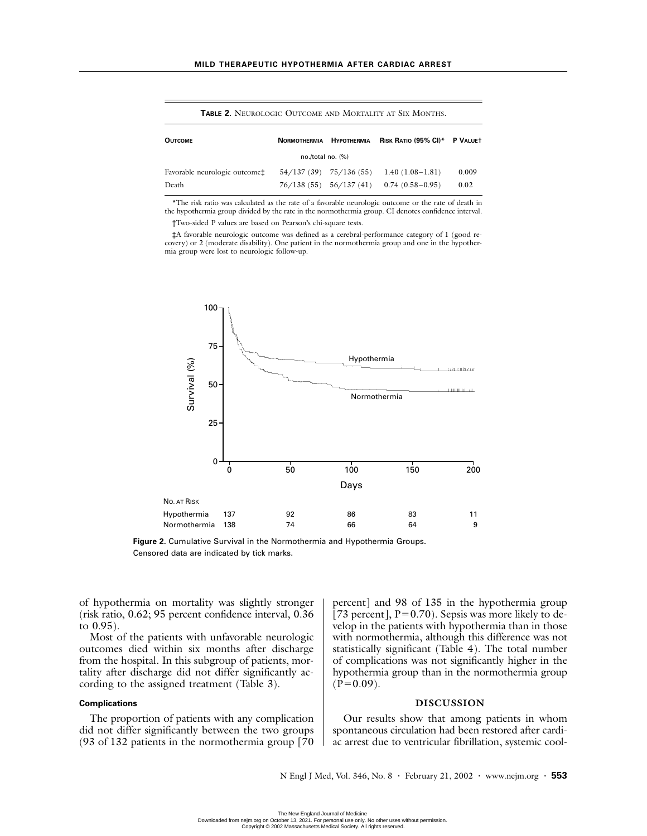**TABLE 2.** NEUROLOGIC OUTCOME AND MORTALITY AT SIX MONTHS.

| <b>OUTCOME</b>                                           | <b>NORMOTHERMIA</b> | <b>HYPOTHERMIA</b>        | RISK RATIO (95% CI)* P VALUET |       |  |  |  |
|----------------------------------------------------------|---------------------|---------------------------|-------------------------------|-------|--|--|--|
| no./total no. (%)                                        |                     |                           |                               |       |  |  |  |
| Favorable neurologic outcome <sup><math>\pm</math></sup> |                     | $54/137(39)$ $75/136(55)$ | $1.40(1.08-1.81)$             | 0.009 |  |  |  |
| Death                                                    | 76/138(55)          |                           | $56/137(41)$ 0.74 (0.58-0.95) | 0.02  |  |  |  |

\*The risk ratio was calculated as the rate of a favorable neurologic outcome or the rate of death in the hypothermia group divided by the rate in the normothermia group. CI denotes confidence interval.

†Two-sided P values are based on Pearson's chi-square tests.

‡A favorable neurologic outcome was defined as a cerebral-performance category of 1 (good recovery) or 2 (moderate disability). One patient in the normothermia group and one in the hypothermia group were lost to neurologic follow-up.



**Figure 2.** Cumulative Survival in the Normothermia and Hypothermia Groups. Censored data are indicated by tick marks.

of hypothermia on mortality was slightly stronger (risk ratio, 0.62; 95 percent confidence interval, 0.36 to 0.95).

Most of the patients with unfavorable neurologic outcomes died within six months after discharge from the hospital. In this subgroup of patients, mortality after discharge did not differ significantly according to the assigned treatment (Table 3).

# **Complications**

The proportion of patients with any complication did not differ significantly between the two groups (93 of 132 patients in the normothermia group [70

percent] and 98 of 135 in the hypothermia group [73 percent],  $P=0.70$ ). Sepsis was more likely to develop in the patients with hypothermia than in those with normothermia, although this difference was not statistically significant (Table 4). The total number of complications was not significantly higher in the hypothermia group than in the normothermia group  $(P=0.09)$ .

# **DISCUSSION**

Our results show that among patients in whom spontaneous circulation had been restored after cardiac arrest due to ventricular fibrillation, systemic cool-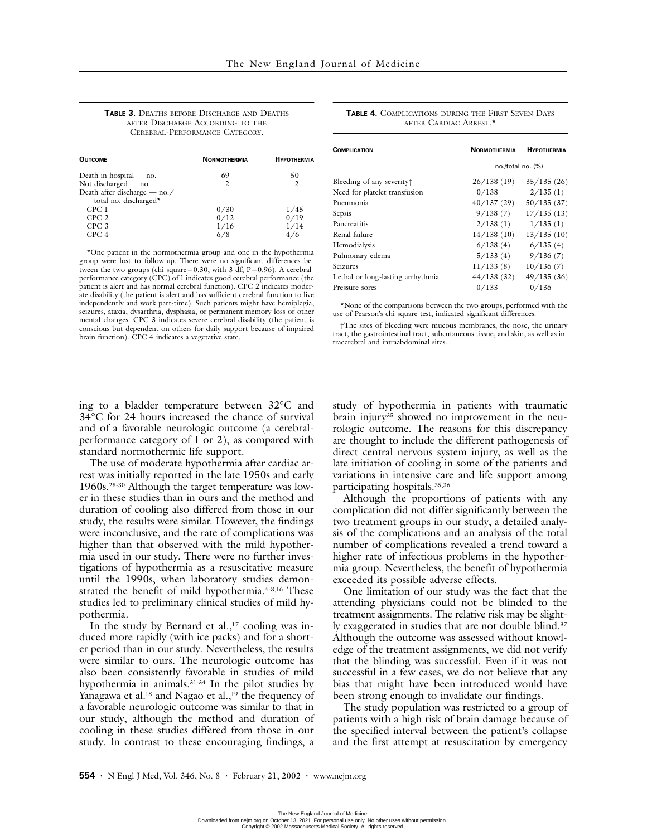**TABLE 3.** DEATHS BEFORE DISCHARGE AND DEATHS AFTER DISCHARGE ACCORDING TO THE CEREBRAL-PERFORMANCE CATEGORY.

| <b>OUTCOME</b>               | <b>NORMOTHERMIA</b> | <b>НУРОТНЕRМІА</b> |
|------------------------------|---------------------|--------------------|
| Death in hospital $-$ no.    | 69                  | 50                 |
| Not discharged — no.         | 2                   | 2                  |
| Death after discharge - no./ |                     |                    |
| total no. discharged*        |                     |                    |
| CPC 1                        | 0/30                | 1/45               |
| CPC <sub>2</sub>             | 0/12                | 0/19               |
| CPC <sub>3</sub>             | 1/16                | 1/14               |
| CPC 4                        | 6/8                 |                    |

\*One patient in the normothermia group and one in the hypothermia group were lost to follow-up. There were no significant differences between the two groups (chi-square=0.30, with 3 df;  $P=0.96$ ). A cerebralperformance category (CPC) of 1 indicates good cerebral performance (the patient is alert and has normal cerebral function). CPC 2 indicates moderate disability (the patient is alert and has sufficient cerebral function to live independently and work part-time). Such patients might have hemiplegia, seizures, ataxia, dysarthria, dysphasia, or permanent memory loss or other mental changes. CPC 3 indicates severe cerebral disability (the patient is conscious but dependent on others for daily support because of impaired brain function). CPC 4 indicates a vegetative state.

ing to a bladder temperature between 32°C and 34°C for 24 hours increased the chance of survival and of a favorable neurologic outcome (a cerebralperformance category of 1 or 2), as compared with standard normothermic life support.

The use of moderate hypothermia after cardiac arrest was initially reported in the late 1950s and early 1960s.28-30 Although the target temperature was lower in these studies than in ours and the method and duration of cooling also differed from those in our study, the results were similar. However, the findings were inconclusive, and the rate of complications was higher than that observed with the mild hypothermia used in our study. There were no further investigations of hypothermia as a resuscitative measure until the 1990s, when laboratory studies demonstrated the benefit of mild hypothermia.<sup>4-8,16</sup> These studies led to preliminary clinical studies of mild hypothermia.

In the study by Bernard et al., $17$  cooling was induced more rapidly (with ice packs) and for a shorter period than in our study. Nevertheless, the results were similar to ours. The neurologic outcome has also been consistently favorable in studies of mild hypothermia in animals.31-34 In the pilot studies by Yanagawa et al.<sup>18</sup> and Nagao et al.,<sup>19</sup> the frequency of a favorable neurologic outcome was similar to that in our study, although the method and duration of cooling in these studies differed from those in our study. In contrast to these encouraging findings, a

| <b>TABLE 4. COMPLICATIONS DURING THE FIRST SEVEN DAYS</b> |  |  |  |  |
|-----------------------------------------------------------|--|--|--|--|
| AFTER CARDIAC ARREST.*                                    |  |  |  |  |

| <b>COMPLICATION</b>               | <b>NORMOTHERMIA</b> | <b>HYPOTHERMIA</b> |  |
|-----------------------------------|---------------------|--------------------|--|
|                                   | no./total no. (%)   |                    |  |
| Bleeding of any severity†         | 26/138(19)          | 35/135(26)         |  |
| Need for platelet transfusion     | 0/138               | 2/135(1)           |  |
| Pneumonia                         | 40/137(29)          | 50/135(37)         |  |
| Sepsis                            | 9/138(7)            | 17/135(13)         |  |
| Pancreatitis                      | 2/138(1)            | 1/135(1)           |  |
| Renal failure                     | 14/138(10)          | 13/135(10)         |  |
| Hemodialysis                      | 6/138(4)            | 6/135(4)           |  |
| Pulmonary edema                   | 5/133(4)            | 9/136(7)           |  |
| Seizures                          | 11/133(8)           | 10/136(7)          |  |
| Lethal or long-lasting arrhythmia | 44/138(32)          | 49/135(36)         |  |
| Pressure sores                    | 0/133               | 0/136              |  |

\*None of the comparisons between the two groups, performed with the use of Pearson's chi-square test, indicated significant differences.

†The sites of bleeding were mucous membranes, the nose, the urinary tract, the gastrointestinal tract, subcutaneous tissue, and skin, as well as intracerebral and intraabdominal sites.

study of hypothermia in patients with traumatic brain injury35 showed no improvement in the neurologic outcome. The reasons for this discrepancy are thought to include the different pathogenesis of direct central nervous system injury, as well as the late initiation of cooling in some of the patients and variations in intensive care and life support among participating hospitals.35,36

Although the proportions of patients with any complication did not differ significantly between the two treatment groups in our study, a detailed analysis of the complications and an analysis of the total number of complications revealed a trend toward a higher rate of infectious problems in the hypothermia group. Nevertheless, the benefit of hypothermia exceeded its possible adverse effects.

One limitation of our study was the fact that the attending physicians could not be blinded to the treatment assignments. The relative risk may be slightly exaggerated in studies that are not double blind.37 Although the outcome was assessed without knowledge of the treatment assignments, we did not verify that the blinding was successful. Even if it was not successful in a few cases, we do not believe that any bias that might have been introduced would have been strong enough to invalidate our findings.

The study population was restricted to a group of patients with a high risk of brain damage because of the specified interval between the patient's collapse and the first attempt at resuscitation by emergency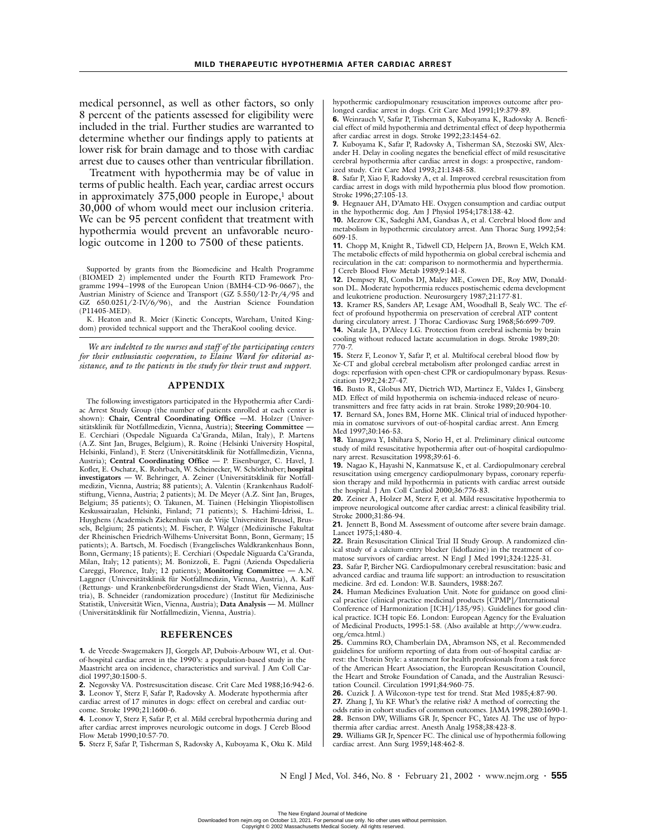medical personnel, as well as other factors, so only 8 percent of the patients assessed for eligibility were included in the trial. Further studies are warranted to determine whether our findings apply to patients at lower risk for brain damage and to those with cardiac arrest due to causes other than ventricular fibrillation.

Treatment with hypothermia may be of value in terms of public health. Each year, cardiac arrest occurs in approximately 375,000 people in Europe,<sup>1</sup> about 30,000 of whom would meet our inclusion criteria. We can be 95 percent confident that treatment with hypothermia would prevent an unfavorable neurologic outcome in 1200 to 7500 of these patients.

Supported by grants from the Biomedicine and Health Programme (BIOMED 2) implemented under the Fourth RTD Framework Programme 1994–1998 of the European Union (BMH4-CD-96-0667), the Austrian Ministry of Science and Transport (GZ 5.550/12-Pr/4/95 and GZ 650.0251/2-IV/6/96), and the Austrian Science Foundation (P11405-MED).

K. Heaton and R. Meier (Kinetic Concepts, Wareham, United Kingdom) provided technical support and the TheraKool cooling device.

*We are indebted to the nurses and staff of the participating centers for their enthusiastic cooperation, to Elaine Ward for editorial assistance, and to the patients in the study for their trust and support.* 

## **APPENDIX**

The following investigators participated in the Hypothermia after Cardiac Arrest Study Group (the number of patients enrolled at each center is shown): **Chair, Central Coordinating Office —**M. Holzer (Universitätsklinik für Notfallmedizin, Vienna, Austria); **Steering Committee —** E. Cerchiari (Ospedale Niguarda Ca'Granda, Milan, Italy), P. Martens (A.Z. Sint Jan, Bruges, Belgium), R. Roine (Helsinki University Hospital, Helsinki, Finland), F. Sterz (Universitätsklinik für Notfallmedizin, Vienna, Austria); **Central Coordinating Office —** P. Eisenburger, C. Havel, J. Kofler, E. Oschatz, K. Rohrbach, W. Scheinecker, W. Schörkhuber; **hospital investigators —** W. Behringer, A. Zeiner (Universitätsklinik für Notfallmedizin, Vienna, Austria; 88 patients); A. Valentin (Krankenhaus Rudolfstiftung, Vienna, Austria; 2 patients); M. De Meyer (A.Z. Sint Jan, Bruges, Belgium; 35 patients); O. Takunen, M. Tiainen (Helsingin Yliopistollisen Keskussairaalan, Helsinki, Finland; 71 patients); S. Hachimi-Idrissi, L. Huyghens (Academisch Ziekenhuis van de Vrije Universiteit Brussel, Brussels, Belgium; 25 patients); M. Fischer, P. Walger (Medizinische Fakultat der Rheinischen Friedrich-Wilhems-Universitat Bonn, Bonn, Germany; 15 patients); A. Bartsch, M. Foedisch (Evangelisches Waldkrankenhaus Bonn, Bonn, Germany; 15 patients); E. Cerchiari (Ospedale Niguarda Ca'Granda, Milan, Italy; 12 patients); M. Bonizzoli, E. Pagni (Azienda Ospedalieria Careggi, Florence, Italy; 12 patients); **Monitoring Committee —** A.N. Laggner (Universitätsklinik für Notfallmedizin, Vienna, Austria), A. Kaff (Rettungs- und Krankenbeförderungsdienst der Stadt Wien, Vienna, Austria), B. Schneider (randomization procedure) (Institut für Medizinische Statistik, Universität Wien, Vienna, Austria); **Data Analysis —** M. Müllner (Universitätsklinik für Notfallmedizin, Vienna, Austria).

## **REFERENCES**

**1.** de Vreede-Swagemakers JJ, Gorgels AP, Dubois-Arbouw WI, et al. Outof-hospital cardiac arrest in the 1990's: a population-based study in the Maastricht area on incidence, characteristics and survival. J Am Coll Cardiol 1997;30:1500-5.

**2.** Negovsky VA. Postresuscitation disease. Crit Care Med 1988;16:942-6. **3.** Leonov Y, Sterz F, Safar P, Radovsky A. Moderate hypothermia after cardiac arrest of 17 minutes in dogs: effect on cerebral and cardiac outcome. Stroke 1990;21:1600-6.

**4.** Leonov Y, Sterz F, Safar P, et al. Mild cerebral hypothermia during and after cardiac arrest improves neurologic outcome in dogs. J Cereb Blood Flow Metab 1990;10:57-70.

**5.** Sterz F, Safar P, Tisherman S, Radovsky A, Kuboyama K, Oku K. Mild

hypothermic cardiopulmonary resuscitation improves outcome after prolonged cardiac arrest in dogs. Crit Care Med 1991;19:379-89.

**6.** Weinrauch V, Safar P, Tisherman S, Kuboyama K, Radovsky A. Beneficial effect of mild hypothermia and detrimental effect of deep hypothermia after cardiac arrest in dogs. Stroke 1992;23:1454-62.

**7.** Kuboyama K, Safar P, Radovsky A, Tisherman SA, Stezoski SW, Alexander H. Delay in cooling negates the beneficial effect of mild resuscitative cerebral hypothermia after cardiac arrest in dogs: a prospective, randomized study. Crit Care Med 1993;21:1348-58.

**8.** Safar P, Xiao F, Radovsky A, et al. Improved cerebral resuscitation from cardiac arrest in dogs with mild hypothermia plus blood flow promotion. Stroke 1996;27:105-13.

**9.** Hegnauer AH, D'Amato HE. Oxygen consumption and cardiac output in the hypothermic dog. Am J Physiol 1954;178:138-42.

**10.** Mezrow CK, Sadeghi AM, Gandsas A, et al. Cerebral blood flow and metabolism in hypothermic circulatory arrest. Ann Thorac Surg 1992;54: 609-15.

**11.** Chopp M, Knight R, Tidwell CD, Helpern JA, Brown E, Welch KM. The metabolic effects of mild hypothermia on global cerebral ischemia and recirculation in the cat: comparison to normothermia and hyperthermia. J Cereb Blood Flow Metab 1989;9:141-8.

**12.** Dempsey RJ, Combs DJ, Maley ME, Cowen DE, Roy MW, Donaldson DL. Moderate hypothermia reduces postischemic edema development and leukotriene production. Neurosurgery 1987;21:177-81.

**13.** Kramer RS, Sanders AP, Lesage AM, Woodhall B, Sealy WC. The effect of profound hypothermia on preservation of cerebral ATP content during circulatory arrest. J Thorac Cardiovasc Surg 1968;56:699-709.

**14.** Natale JA, D'Alecy LG. Protection from cerebral ischemia by brain cooling without reduced lactate accumulation in dogs. Stroke 1989;20: 770-7.

**15.** Sterz F, Leonov Y, Safar P, et al. Multifocal cerebral blood flow by Xe-CT and global cerebral metabolism after prolonged cardiac arrest in dogs: reperfusion with open-chest CPR or cardiopulmonary bypass. Resuscitation 1992;24:27-47.

**16.** Busto R, Globus MY, Dietrich WD, Martinez E, Valdes I, Ginsberg MD. Effect of mild hypothermia on ischemia-induced release of neurotransmitters and free fatty acids in rat brain. Stroke 1989;20:904-10.

**17.** Bernard SA, Jones BM, Horne MK. Clinical trial of induced hypothermia in comatose survivors of out-of-hospital cardiac arrest. Ann Emerg Med 1997;30:146-53.

**18.** Yanagawa Y, Ishihara S, Norio H, et al. Preliminary clinical outcome study of mild resuscitative hypothermia after out-of-hospital cardiopulmonary arrest. Resuscitation 1998;39:61-6.

**19.** Nagao K, Hayashi N, Kanmatsuse K, et al. Cardiopulmonary cerebral resuscitation using emergency cardiopulmonary bypass, coronary reperfusion therapy and mild hypothermia in patients with cardiac arrest outside the hospital. J Am Coll Cardiol 2000;36:776-83.

**20.** Zeiner A, Holzer M, Sterz F, et al. Mild resuscitative hypothermia to improve neurological outcome after cardiac arrest: a clinical feasibility trial. Stroke 2000;31:86-94.

**21.** Jennett B, Bond M. Assessment of outcome after severe brain damage. Lancet 1975;1:480-4.

**22.** Brain Resuscitation Clinical Trial II Study Group. A randomized clinical study of a calcium-entry blocker (lidoflazine) in the treatment of comatose survivors of cardiac arrest. N Engl J Med 1991;324:1225-31.

**23.** Safar P, Bircher NG. Cardiopulmonary cerebral resuscitation: basic and advanced cardiac and trauma life support: an introduction to resuscitation medicine. 3rd ed. London: W.B. Saunders, 1988:267.

**24.** Human Medicines Evaluation Unit. Note for guidance on good clinical practice (clinical practice medicinal products [CPMP]/International Conference of Harmonization [ICH]/135/95). Guidelines for good clin-

ical practice. ICH topic E6. London: European Agency for the Evaluation of Medicinal Products, 1995:1-58. (Also available at http://www.eudra. org/emca.html.)

**25.** Cummins RO, Chamberlain DA, Abramson NS, et al. Recommended guidelines for uniform reporting of data from out-of-hospital cardiac arrest: the Utstein Style: a statement for health professionals from a task force of the American Heart Association, the European Resuscitation Council, the Heart and Stroke Foundation of Canada, and the Australian Resuscitation Council. Circulation 1991;84:960-75.

**26.** Cuzick J. A Wilcoxon-type test for trend. Stat Med 1985;4:87-90.

**27.** Zhang J, Yu KF. What's the relative risk? A method of correcting the odds ratio in cohort studies of common outcomes. JAMA 1998;280:1690-1. **28.** Benson DW, Williams GR Jr, Spencer FC, Yates AJ. The use of hypothermia after cardiac arrest. Anesth Analg 1958;38:423-8.

**29.** Williams GR Jr, Spencer FC. The clinical use of hypothermia following cardiac arrest. Ann Surg 1959;148:462-8.